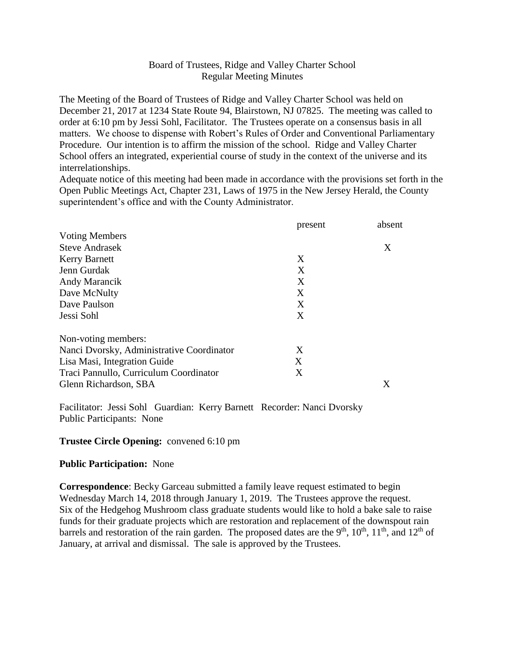## Board of Trustees, Ridge and Valley Charter School Regular Meeting Minutes

The Meeting of the Board of Trustees of Ridge and Valley Charter School was held on December 21, 2017 at 1234 State Route 94, Blairstown, NJ 07825. The meeting was called to order at 6:10 pm by Jessi Sohl, Facilitator. The Trustees operate on a consensus basis in all matters. We choose to dispense with Robert's Rules of Order and Conventional Parliamentary Procedure. Our intention is to affirm the mission of the school. Ridge and Valley Charter School offers an integrated, experiential course of study in the context of the universe and its interrelationships.

Adequate notice of this meeting had been made in accordance with the provisions set forth in the Open Public Meetings Act, Chapter 231, Laws of 1975 in the New Jersey Herald, the County superintendent's office and with the County Administrator.

|                                           | present | absent |
|-------------------------------------------|---------|--------|
| <b>Voting Members</b>                     |         |        |
| <b>Steve Andrasek</b>                     |         | X      |
| <b>Kerry Barnett</b>                      | X       |        |
| Jenn Gurdak                               | X       |        |
| Andy Marancik                             | X       |        |
| Dave McNulty                              | X       |        |
| Dave Paulson                              | X       |        |
| Jessi Sohl                                | X       |        |
| Non-voting members:                       |         |        |
| Nanci Dvorsky, Administrative Coordinator | X       |        |
| Lisa Masi, Integration Guide              | X       |        |
| Traci Pannullo, Curriculum Coordinator    | X       |        |
| Glenn Richardson, SBA                     |         | Χ      |

Facilitator: Jessi Sohl Guardian: Kerry Barnett Recorder: Nanci Dvorsky Public Participants: None

### **Trustee Circle Opening:** convened 6:10 pm

#### **Public Participation:** None

**Correspondence**: Becky Garceau submitted a family leave request estimated to begin Wednesday March 14, 2018 through January 1, 2019. The Trustees approve the request. Six of the Hedgehog Mushroom class graduate students would like to hold a bake sale to raise funds for their graduate projects which are restoration and replacement of the downspout rain barrels and restoration of the rain garden. The proposed dates are the 9<sup>th</sup>, 10<sup>th</sup>, 11<sup>th</sup>, and 12<sup>th</sup> of January, at arrival and dismissal. The sale is approved by the Trustees.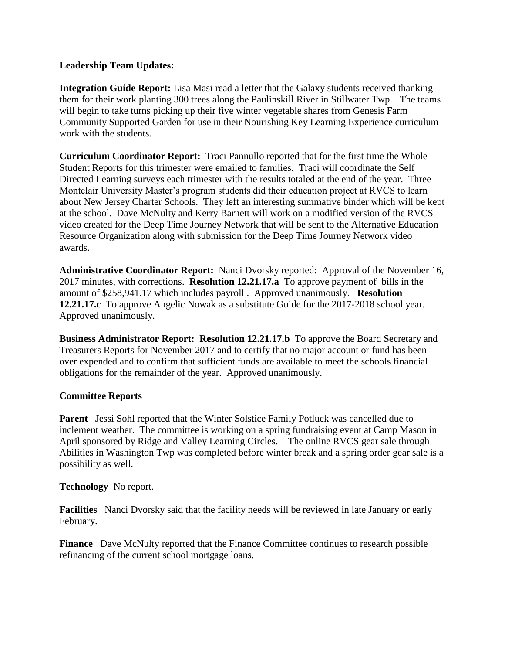## **Leadership Team Updates:**

**Integration Guide Report:** Lisa Masi read a letter that the Galaxy students received thanking them for their work planting 300 trees along the Paulinskill River in Stillwater Twp. The teams will begin to take turns picking up their five winter vegetable shares from Genesis Farm Community Supported Garden for use in their Nourishing Key Learning Experience curriculum work with the students.

**Curriculum Coordinator Report:** Traci Pannullo reported that for the first time the Whole Student Reports for this trimester were emailed to families. Traci will coordinate the Self Directed Learning surveys each trimester with the results totaled at the end of the year. Three Montclair University Master's program students did their education project at RVCS to learn about New Jersey Charter Schools. They left an interesting summative binder which will be kept at the school. Dave McNulty and Kerry Barnett will work on a modified version of the RVCS video created for the Deep Time Journey Network that will be sent to the Alternative Education Resource Organization along with submission for the Deep Time Journey Network video awards.

**Administrative Coordinator Report:** Nanci Dvorsky reported: Approval of the November 16, 2017 minutes, with corrections. **Resolution 12.21.17.a** To approve payment of bills in the amount of \$258,941.17 which includes payroll . Approved unanimously. **Resolution 12.21.17.c** To approve Angelic Nowak as a substitute Guide for the 2017-2018 school year. Approved unanimously.

**Business Administrator Report: Resolution 12.21.17.b** To approve the Board Secretary and Treasurers Reports for November 2017 and to certify that no major account or fund has been over expended and to confirm that sufficient funds are available to meet the schools financial obligations for the remainder of the year. Approved unanimously.

# **Committee Reports**

**Parent** Jessi Sohl reported that the Winter Solstice Family Potluck was cancelled due to inclement weather. The committee is working on a spring fundraising event at Camp Mason in April sponsored by Ridge and Valley Learning Circles. The online RVCS gear sale through Abilities in Washington Twp was completed before winter break and a spring order gear sale is a possibility as well.

**Technology** No report.

**Facilities** Nanci Dvorsky said that the facility needs will be reviewed in late January or early February.

**Finance** Dave McNulty reported that the Finance Committee continues to research possible refinancing of the current school mortgage loans.